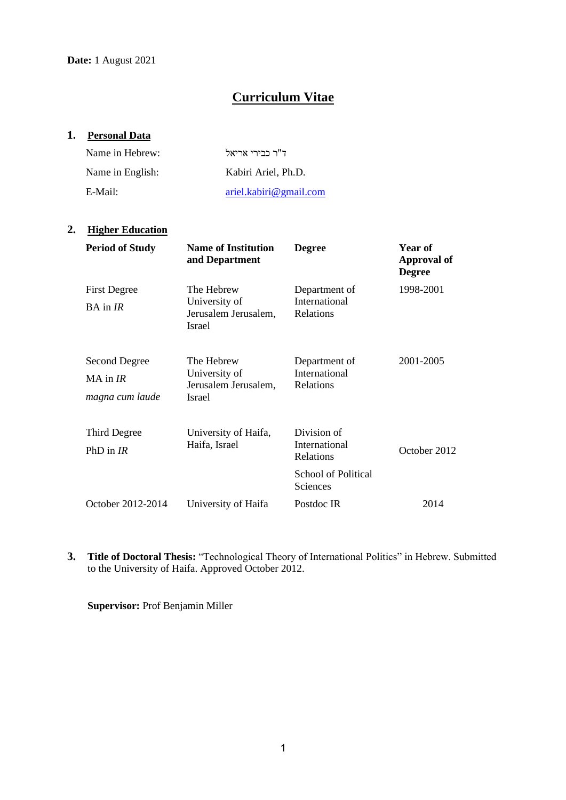# **Curriculum Vitae**

# **1. Personal Data**

| Name in Hebrew:  | ד"ר כבירי אריאל        |
|------------------|------------------------|
| Name in English: | Kabiri Ariel, Ph.D.    |
| E-Mail:          | ariel.kabiri@gmail.com |

# **2. Higher Education**

| <b>Period of Study</b>                           | <b>Name of Institution</b><br>and Department                         | <b>Degree</b>                                                                       | Year of<br>Approval of<br><b>Degree</b> |
|--------------------------------------------------|----------------------------------------------------------------------|-------------------------------------------------------------------------------------|-----------------------------------------|
| <b>First Degree</b><br>$BA$ in $IR$              | The Hebrew<br>University of<br>Jerusalem Jerusalem,<br><b>Israel</b> | Department of<br>International<br>Relations                                         | 1998-2001                               |
| Second Degree<br>$MA$ in $IR$<br>magna cum laude | The Hebrew<br>University of<br>Jerusalem Jerusalem,<br><b>Israel</b> | Department of<br><b>International</b><br>Relations                                  | 2001-2005                               |
| Third Degree<br>PhD in $IR$                      | University of Haifa,<br>Haifa, Israel                                | Division of<br>International<br>Relations<br><b>School of Political</b><br>Sciences | October 2012                            |
| October 2012-2014                                | University of Haifa                                                  | Postdoc IR                                                                          | 2014                                    |

**3. Title of Doctoral Thesis:** "Technological Theory of International Politics" in Hebrew. Submitted to the University of Haifa. Approved October 2012.

**Supervisor:** Prof Benjamin Miller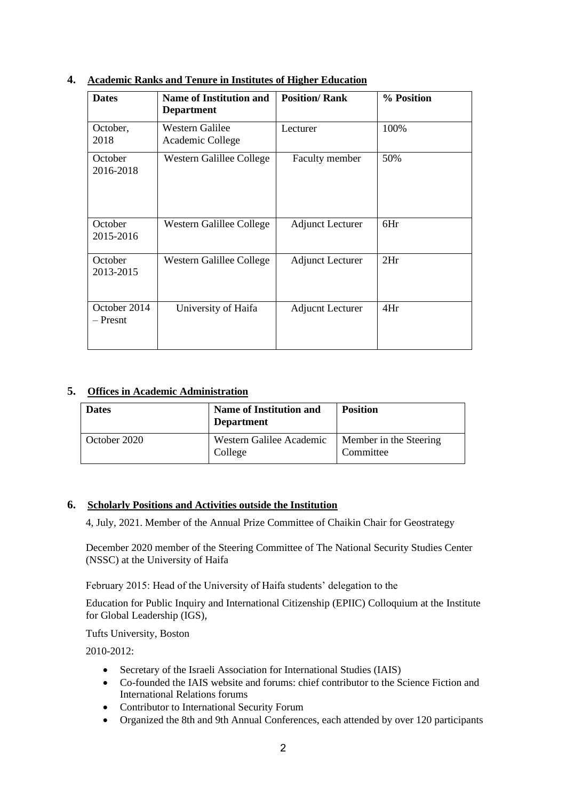| <b>Dates</b>               | <b>Name of Institution and</b><br><b>Department</b> | <b>Position/Rank</b>    | % Position |
|----------------------------|-----------------------------------------------------|-------------------------|------------|
| October,<br>2018           | Western Galilee<br>Academic College                 | Lecturer                | 100%       |
| October<br>2016-2018       | Western Galillee College                            | Faculty member          | 50%        |
| October<br>2015-2016       | Western Galillee College                            | <b>Adjunct Lecturer</b> | 6Hr        |
| October<br>2013-2015       | Western Galillee College                            | <b>Adjunct Lecturer</b> | 2Hr        |
| October 2014<br>$-$ Presnt | University of Haifa                                 | <b>Adjucnt Lecturer</b> | 4Hr        |

# **4. Academic Ranks and Tenure in Institutes of Higher Education**

#### **5. Offices in Academic Administration**

| <b>Dates</b> | <b>Name of Institution and</b><br><b>Department</b> | <b>Position</b>                     |
|--------------|-----------------------------------------------------|-------------------------------------|
| October 2020 | Western Galilee Academic<br>College                 | Member in the Steering<br>Committee |

#### **6. Scholarly Positions and Activities outside the Institution**

4, July, 2021. Member of the Annual Prize Committee of Chaikin Chair for Geostrategy

December 2020 member of the Steering Committee of The National Security Studies Center (NSSC) at the University of Haifa

February 2015: Head of the University of Haifa students' delegation to the

Education for Public Inquiry and International Citizenship (EPIIC) Colloquium at the Institute for Global Leadership (IGS),

Tufts University, Boston

2010-2012:

- Secretary of the Israeli Association for International Studies (IAIS)
- Co-founded the IAIS website and forums: chief contributor to the Science Fiction and International Relations forums
- Contributor to International Security Forum
- Organized the 8th and 9th Annual Conferences, each attended by over 120 participants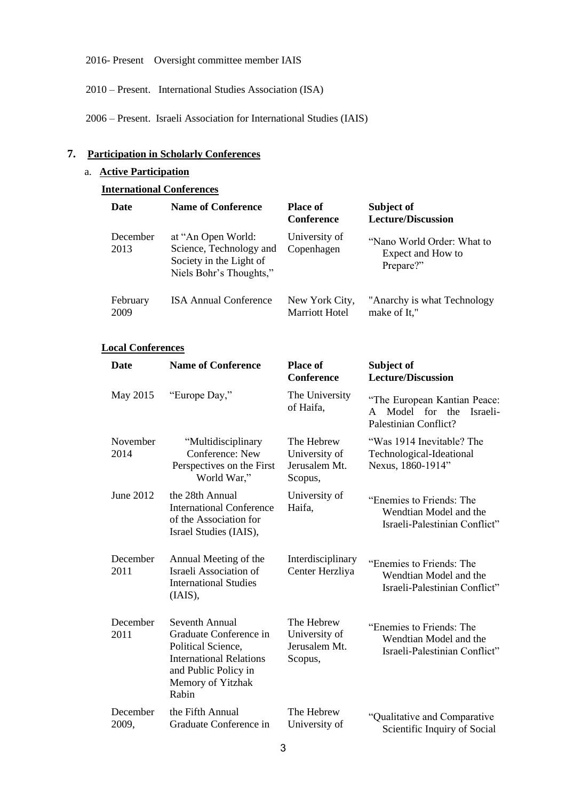2016- Present Oversight committee member IAIS

2010 – Present. International Studies Association (ISA)

2006 – Present. Israeli Association for International Studies (IAIS)

# **7. Participation in Scholarly Conferences**

# a. **Active Participation**

# **International Conferences**

| <b>Date</b>      | <b>Name of Conference</b>                                                                           | <b>Place of</b><br><b>Conference</b>    | Subject of<br><b>Lecture/Discussion</b>                      |
|------------------|-----------------------------------------------------------------------------------------------------|-----------------------------------------|--------------------------------------------------------------|
| December<br>2013 | at "An Open World:<br>Science, Technology and<br>Society in the Light of<br>Niels Bohr's Thoughts," | University of<br>Copenhagen             | "Nano World Order: What to<br>Expect and How to<br>Prepare?" |
| February<br>2009 | <b>ISA Annual Conference</b>                                                                        | New York City,<br><b>Marriott Hotel</b> | "Anarchy is what Technology"<br>make of It,"                 |

#### **Local Conferences**

| <b>Date</b>       | <b>Name of Conference</b>                                                                                                                              | <b>Place of</b><br><b>Conference</b>                    | Subject of<br><b>Lecture/Discussion</b>                                                 |
|-------------------|--------------------------------------------------------------------------------------------------------------------------------------------------------|---------------------------------------------------------|-----------------------------------------------------------------------------------------|
| May 2015          | "Europe Day,"                                                                                                                                          | The University<br>of Haifa.                             | "The European Kantian Peace:<br>Model for the<br>Israeli-<br>A<br>Palestinian Conflict? |
| November<br>2014  | "Multidisciplinary<br>Conference: New<br>Perspectives on the First<br>World War,"                                                                      | The Hebrew<br>University of<br>Jerusalem Mt.<br>Scopus, | "Was 1914 Inevitable? The<br>Technological-Ideational<br>Nexus, 1860-1914"              |
| June 2012         | the 28th Annual<br><b>International Conference</b><br>of the Association for<br>Israel Studies (IAIS),                                                 | University of<br>Haifa,                                 | "Enemies to Friends: The<br>Wendtian Model and the<br>Israeli-Palestinian Conflict"     |
| December<br>2011  | Annual Meeting of the<br>Israeli Association of<br><b>International Studies</b><br>(IAIS),                                                             | Interdisciplinary<br>Center Herzliya                    | "Enemies to Friends: The<br>Wendtian Model and the<br>Israeli-Palestinian Conflict"     |
| December<br>2011  | Seventh Annual<br>Graduate Conference in<br>Political Science,<br><b>International Relations</b><br>and Public Policy in<br>Memory of Yitzhak<br>Rabin | The Hebrew<br>University of<br>Jerusalem Mt.<br>Scopus, | "Enemies to Friends: The<br>Wendtian Model and the<br>Israeli-Palestinian Conflict"     |
| December<br>2009, | the Fifth Annual<br>Graduate Conference in                                                                                                             | The Hebrew<br>University of                             | "Qualitative and Comparative<br>Scientific Inquiry of Social                            |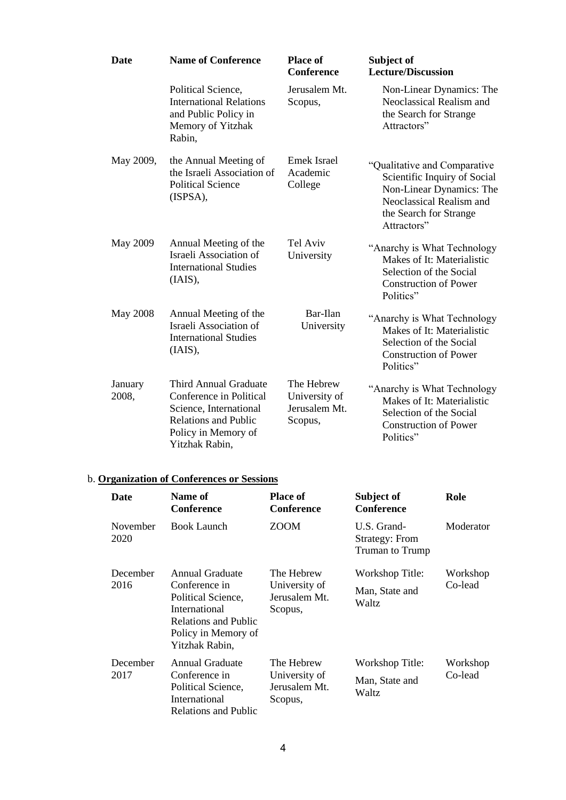| <b>Date</b>      | <b>Name of Conference</b>                                                                                                                                 | <b>Place of</b><br><b>Conference</b>                    | Subject of<br><b>Lecture/Discussion</b>                                                                                                                       |
|------------------|-----------------------------------------------------------------------------------------------------------------------------------------------------------|---------------------------------------------------------|---------------------------------------------------------------------------------------------------------------------------------------------------------------|
|                  | Political Science,<br><b>International Relations</b><br>and Public Policy in<br>Memory of Yitzhak<br>Rabin,                                               | Jerusalem Mt.<br>Scopus,                                | Non-Linear Dynamics: The<br>Neoclassical Realism and<br>the Search for Strange<br>Attractors"                                                                 |
| May 2009,        | the Annual Meeting of<br>the Israeli Association of<br><b>Political Science</b><br>(ISPSA),                                                               | Emek Israel<br>Academic<br>College                      | "Qualitative and Comparative<br>Scientific Inquiry of Social<br>Non-Linear Dynamics: The<br>Neoclassical Realism and<br>the Search for Strange<br>Attractors" |
| May 2009         | Annual Meeting of the<br>Israeli Association of<br><b>International Studies</b><br>(IAIS),                                                                | Tel Aviv<br>University                                  | "Anarchy is What Technology<br>Makes of It: Materialistic<br>Selection of the Social<br><b>Construction of Power</b><br>Politics"                             |
| <b>May 2008</b>  | Annual Meeting of the<br>Israeli Association of<br><b>International Studies</b><br>(IAIS),                                                                | Bar-Ilan<br>University                                  | "Anarchy is What Technology"<br>Makes of It: Materialistic<br>Selection of the Social<br><b>Construction of Power</b><br>Politics"                            |
| January<br>2008, | <b>Third Annual Graduate</b><br>Conference in Political<br>Science, International<br><b>Relations and Public</b><br>Policy in Memory of<br>Yitzhak Rabin, | The Hebrew<br>University of<br>Jerusalem Mt.<br>Scopus, | "Anarchy is What Technology<br>Makes of It: Materialistic<br>Selection of the Social<br><b>Construction of Power</b><br>Politics"                             |

# b. **Organization of Conferences or Sessions**

| Date             | Name of<br><b>Conference</b>                                                                                                                    | <b>Place of</b><br>Conference                           | Subject of<br>Conference                                       | Role                |
|------------------|-------------------------------------------------------------------------------------------------------------------------------------------------|---------------------------------------------------------|----------------------------------------------------------------|---------------------|
| November<br>2020 | <b>Book Launch</b>                                                                                                                              | <b>ZOOM</b>                                             | U.S. Grand-<br><b>Strategy: From</b><br><b>Truman to Trump</b> | Moderator           |
| December<br>2016 | Annual Graduate<br>Conference in<br>Political Science,<br><b>International</b><br>Relations and Public<br>Policy in Memory of<br>Yitzhak Rabin, | The Hebrew<br>University of<br>Jerusalem Mt.<br>Scopus, | Workshop Title:<br>Man, State and<br><b>Waltz</b>              | Workshop<br>Co-lead |
| December<br>2017 | Annual Graduate<br>Conference in<br>Political Science,<br>International<br>Relations and Public                                                 | The Hebrew<br>University of<br>Jerusalem Mt.<br>Scopus, | Workshop Title:<br>Man, State and<br>Waltz                     | Workshop<br>Co-lead |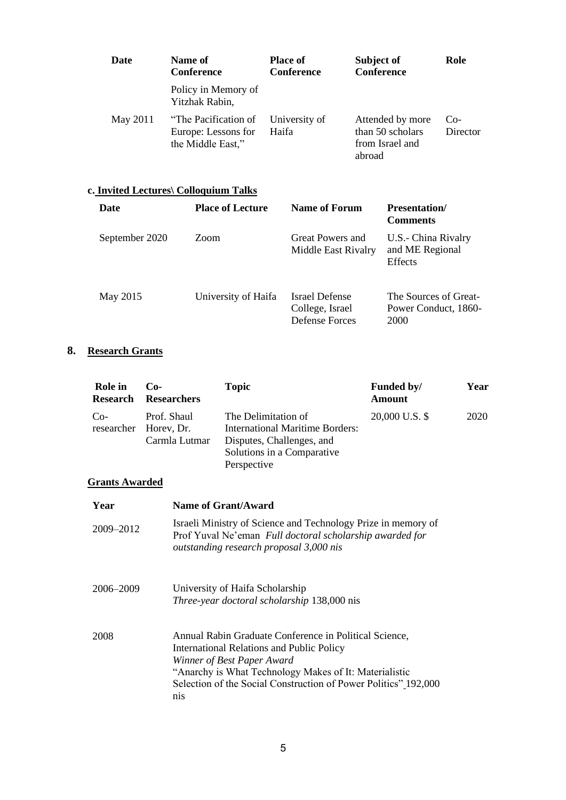| Date     | Name of<br><b>Conference</b>                                     | <b>Place of</b><br><b>Conference</b> | Subject of<br>Conference                                          | Role              |
|----------|------------------------------------------------------------------|--------------------------------------|-------------------------------------------------------------------|-------------------|
|          | Policy in Memory of<br>Yitzhak Rabin,                            |                                      |                                                                   |                   |
| May 2011 | "The Pacification of<br>Europe: Lessons for<br>the Middle East," | University of<br>Haifa               | Attended by more<br>than 50 scholars<br>from Israel and<br>abroad | $Co-$<br>Director |

#### **c. Invited Lectures\ Colloquium Talks**

| Date           | <b>Place of Lecture</b> | <b>Name of Forum</b>                                       | <b>Presentation</b> /<br><b>Comments</b>              |
|----------------|-------------------------|------------------------------------------------------------|-------------------------------------------------------|
| September 2020 | Zoom                    | Great Powers and<br>Middle East Rivalry                    | U.S.- China Rivalry<br>and ME Regional<br>Effects     |
| May 2015       | University of Haifa     | Israel Defense<br>College, Israel<br><b>Defense Forces</b> | The Sources of Great-<br>Power Conduct, 1860-<br>2000 |

# **8. Research Grants**

| Role in<br><b>Research</b> | $Co-$<br><b>Researchers</b>                           | <b>Topic</b>                                                                                                                            | Funded by/<br><b>Amount</b> | Year |
|----------------------------|-------------------------------------------------------|-----------------------------------------------------------------------------------------------------------------------------------------|-----------------------------|------|
| $Co-$                      | Prof. Shaul<br>researcher Horey, Dr.<br>Carmla Lutmar | The Delimitation of<br><b>International Maritime Borders:</b><br>Disputes, Challenges, and<br>Solutions in a Comparative<br>Perspective | 20,000 U.S. \$              | 2020 |

# **Grants Awarded**

| Year      | Name of Grant/Award                                                                                                                                                                                                                                                          |
|-----------|------------------------------------------------------------------------------------------------------------------------------------------------------------------------------------------------------------------------------------------------------------------------------|
| 2009-2012 | Israeli Ministry of Science and Technology Prize in memory of<br>Prof Yuval Ne'eman Full doctoral scholarship awarded for<br>outstanding research proposal 3,000 nis                                                                                                         |
| 2006-2009 | University of Haifa Scholarship<br>Three-year doctoral scholarship 138,000 nis                                                                                                                                                                                               |
| 2008      | Annual Rabin Graduate Conference in Political Science,<br><b>International Relations and Public Policy</b><br>Winner of Best Paper Award<br>"Anarchy is What Technology Makes of It: Materialistic<br>Selection of the Social Construction of Power Politics" 192,000<br>nis |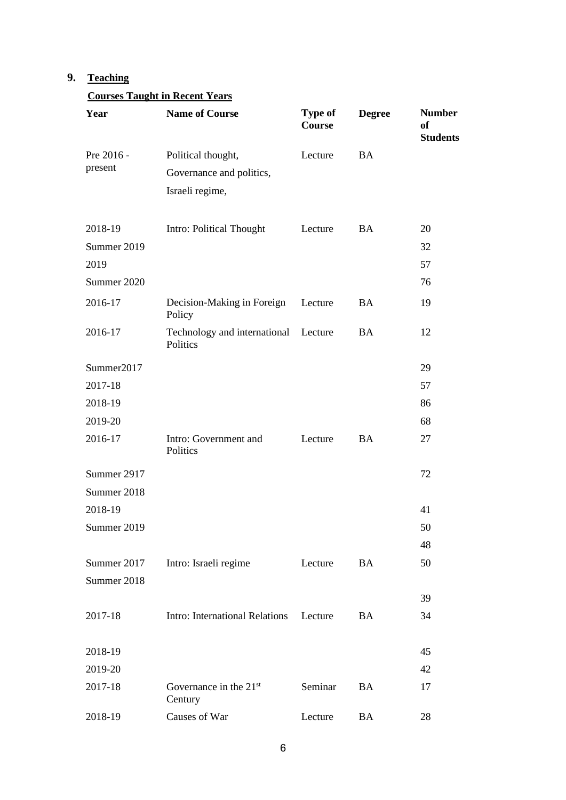# **9. Teaching**

# **Courses Taught in Recent Years**

| Year                  | <b>Name of Course</b>                                             | Type of<br>Course | <b>Degree</b> | <b>Number</b><br>of<br><b>Students</b> |
|-----------------------|-------------------------------------------------------------------|-------------------|---------------|----------------------------------------|
| Pre 2016 -<br>present | Political thought,<br>Governance and politics,<br>Israeli regime, | Lecture           | <b>BA</b>     |                                        |
| 2018-19               | Intro: Political Thought                                          | Lecture           | <b>BA</b>     | 20                                     |
| Summer 2019           |                                                                   |                   |               | 32                                     |
| 2019                  |                                                                   |                   |               | 57                                     |
| Summer 2020           |                                                                   |                   |               | 76                                     |
| 2016-17               | Decision-Making in Foreign<br>Policy                              | Lecture           | <b>BA</b>     | 19                                     |
| 2016-17               | Technology and international Lecture<br>Politics                  |                   | <b>BA</b>     | 12                                     |
| Summer2017            |                                                                   |                   |               | 29                                     |
| 2017-18               |                                                                   |                   |               | 57                                     |
| 2018-19               |                                                                   |                   |               | 86                                     |
| 2019-20               |                                                                   |                   |               | 68                                     |
| 2016-17               | Intro: Government and<br>Politics                                 | Lecture           | BA            | 27                                     |
| Summer 2917           |                                                                   |                   |               | 72                                     |
| Summer 2018           |                                                                   |                   |               |                                        |
| 2018-19               |                                                                   |                   |               | 41                                     |
| Summer 2019           |                                                                   |                   |               | 50                                     |
|                       |                                                                   |                   |               | 48                                     |
| Summer 2017           | Intro: Israeli regime                                             | Lecture           | <b>BA</b>     | 50                                     |
| Summer 2018           |                                                                   |                   |               |                                        |
|                       |                                                                   |                   |               | 39                                     |
| 2017-18               | Intro: International Relations                                    | Lecture           | <b>BA</b>     | 34                                     |
| 2018-19               |                                                                   |                   |               | 45                                     |
| 2019-20               |                                                                   |                   |               | 42                                     |
| 2017-18               | Governance in the $21st$<br>Century                               | Seminar           | <b>BA</b>     | 17                                     |
| 2018-19               | Causes of War                                                     | Lecture           | BA            | 28                                     |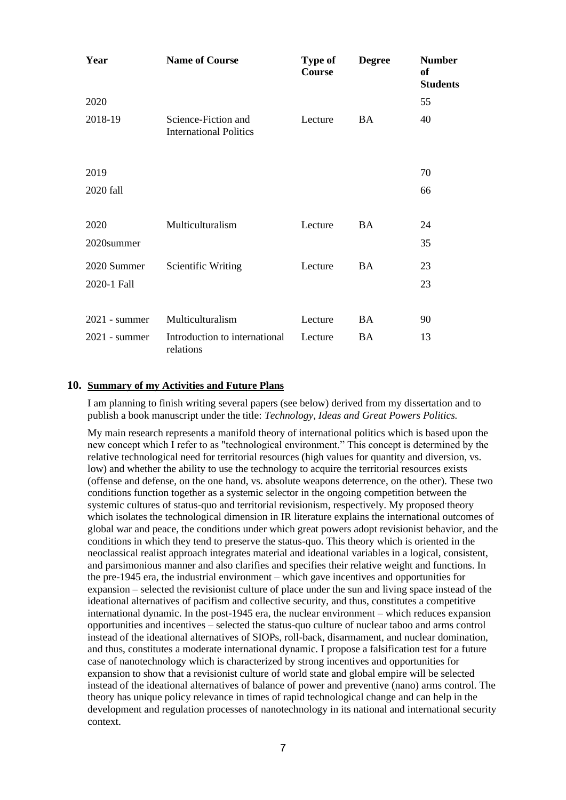| Year            | <b>Name of Course</b>                                | <b>Type of</b><br>Course | <b>Degree</b> | <b>Number</b><br><b>of</b><br><b>Students</b> |
|-----------------|------------------------------------------------------|--------------------------|---------------|-----------------------------------------------|
| 2020            |                                                      |                          |               | 55                                            |
| 2018-19         | Science-Fiction and<br><b>International Politics</b> | Lecture                  | BA            | 40                                            |
| 2019            |                                                      |                          |               | 70                                            |
| 2020 fall       |                                                      |                          |               | 66                                            |
| 2020            | Multiculturalism                                     | Lecture                  | <b>BA</b>     | 24                                            |
| 2020summer      |                                                      |                          |               | 35                                            |
| 2020 Summer     | Scientific Writing                                   | Lecture                  | <b>BA</b>     | 23                                            |
| 2020-1 Fall     |                                                      |                          |               | 23                                            |
| $2021$ - summer | Multiculturalism                                     | Lecture                  | <b>BA</b>     | 90                                            |
| $2021$ - summer | Introduction to international<br>relations           | Lecture                  | <b>BA</b>     | 13                                            |

#### **10. Summary of my Activities and Future Plans**

I am planning to finish writing several papers (see below) derived from my dissertation and to publish a book manuscript under the title: *Technology, Ideas and Great Powers Politics.*

My main research represents a manifold theory of international politics which is based upon the new concept which I refer to as "technological environment." This concept is determined by the relative technological need for territorial resources (high values for quantity and diversion, vs. low) and whether the ability to use the technology to acquire the territorial resources exists (offense and defense, on the one hand, vs. absolute weapons deterrence, on the other). These two conditions function together as a systemic selector in the ongoing competition between the systemic cultures of status-quo and territorial revisionism, respectively. My proposed theory which isolates the technological dimension in IR literature explains the international outcomes of global war and peace, the conditions under which great powers adopt revisionist behavior, and the conditions in which they tend to preserve the status-quo. This theory which is oriented in the neoclassical realist approach integrates material and ideational variables in a logical, consistent, and parsimonious manner and also clarifies and specifies their relative weight and functions. In the pre-1945 era, the industrial environment – which gave incentives and opportunities for expansion – selected the revisionist culture of place under the sun and living space instead of the ideational alternatives of pacifism and collective security, and thus, constitutes a competitive international dynamic. In the post-1945 era, the nuclear environment – which reduces expansion opportunities and incentives – selected the status-quo culture of nuclear taboo and arms control instead of the ideational alternatives of SIOPs, roll-back, disarmament, and nuclear domination, and thus, constitutes a moderate international dynamic. I propose a falsification test for a future case of nanotechnology which is characterized by strong incentives and opportunities for expansion to show that a revisionist culture of world state and global empire will be selected instead of the ideational alternatives of balance of power and preventive (nano) arms control. The theory has unique policy relevance in times of rapid technological change and can help in the development and regulation processes of nanotechnology in its national and international security context.